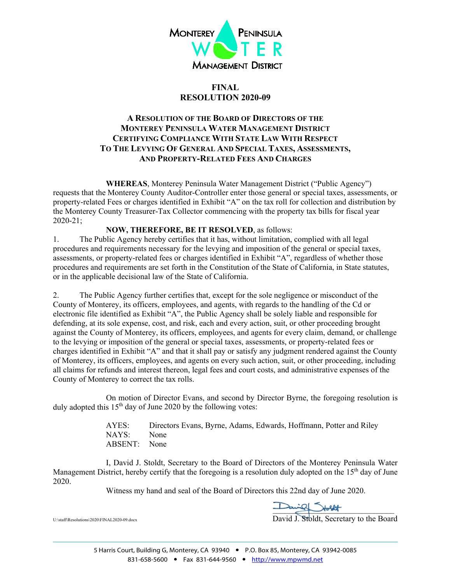

## **FINAL RESOLUTION 2020-09**

## **A RESOLUTION OF THE BOARD OF DIRECTORS OF THE MONTEREY PENINSULA WATER MANAGEMENT DISTRICT CERTIFYING COMPLIANCE WITH STATE LAW WITH RESPECT TO THE LEVYING OF GENERAL AND SPECIAL TAXES, ASSESSMENTS, AND PROPERTY-RELATED FEES AND CHARGES**

**WHEREAS**, Monterey Peninsula Water Management District ("Public Agency") requests that the Monterey County Auditor-Controller enter those general or special taxes, assessments, or property-related Fees or charges identified in Exhibit "A" on the tax roll for collection and distribution by the Monterey County Treasurer-Tax Collector commencing with the property tax bills for fiscal year 2020-21;

### **NOW, THEREFORE, BE IT RESOLVED**, as follows:

1. The Public Agency hereby certifies that it has, without limitation, complied with all legal procedures and requirements necessary for the levying and imposition of the general or special taxes, assessments, or property-related fees or charges identified in Exhibit "A", regardless of whether those procedures and requirements are set forth in the Constitution of the State of California, in State statutes, or in the applicable decisional law of the State of California.

2. The Public Agency further certifies that, except for the sole negligence or misconduct of the County of Monterey, its officers, employees, and agents, with regards to the handling of the Cd or electronic file identified as Exhibit "A", the Public Agency shall be solely liable and responsible for defending, at its sole expense, cost, and risk, each and every action, suit, or other proceeding brought against the County of Monterey, its officers, employees, and agents for every claim, demand, or challenge to the levying or imposition of the general or special taxes, assessments, or property-related fees or charges identified in Exhibit "A" and that it shall pay or satisfy any judgment rendered against the County of Monterey, its officers, employees, and agents on every such action, suit, or other proceeding, including all claims for refunds and interest thereon, legal fees and court costs, and administrative expenses of the County of Monterey to correct the tax rolls.

On motion of Director Evans, and second by Director Byrne, the foregoing resolution is duly adopted this  $15<sup>th</sup>$  day of June 2020 by the following votes:

> AYES: Directors Evans, Byrne, Adams, Edwards, Hoffmann, Potter and Riley NAYS: None ABSENT: None

I, David J. Stoldt, Secretary to the Board of Directors of the Monterey Peninsula Water Management District, hereby certify that the foregoing is a resolution duly adopted on the 15<sup>th</sup> day of June 2020.

Witness my hand and seal of the Board of Directors this 22nd day of June 2020.

 $\frac{1}{\sqrt{2}}$ 

U:\staff\Resolutions\2020\FINAL2020-09.docx  ${\rm David\,J.}\, {\rm Stoldt, Secretary}$  to the  ${\rm Board\,J.}$